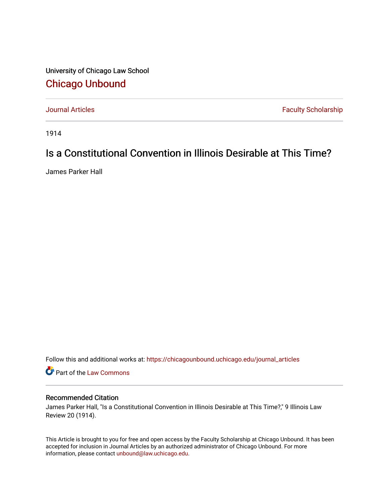University of Chicago Law School [Chicago Unbound](https://chicagounbound.uchicago.edu/)

[Journal Articles](https://chicagounbound.uchicago.edu/journal_articles) **Faculty Scholarship Faculty Scholarship** 

1914

## Is a Constitutional Convention in Illinois Desirable at This Time?

James Parker Hall

Follow this and additional works at: [https://chicagounbound.uchicago.edu/journal\\_articles](https://chicagounbound.uchicago.edu/journal_articles?utm_source=chicagounbound.uchicago.edu%2Fjournal_articles%2F9181&utm_medium=PDF&utm_campaign=PDFCoverPages) 

Part of the [Law Commons](http://network.bepress.com/hgg/discipline/578?utm_source=chicagounbound.uchicago.edu%2Fjournal_articles%2F9181&utm_medium=PDF&utm_campaign=PDFCoverPages)

## Recommended Citation

James Parker Hall, "Is a Constitutional Convention in Illinois Desirable at This Time?," 9 Illinois Law Review 20 (1914).

This Article is brought to you for free and open access by the Faculty Scholarship at Chicago Unbound. It has been accepted for inclusion in Journal Articles by an authorized administrator of Chicago Unbound. For more information, please contact [unbound@law.uchicago.edu](mailto:unbound@law.uchicago.edu).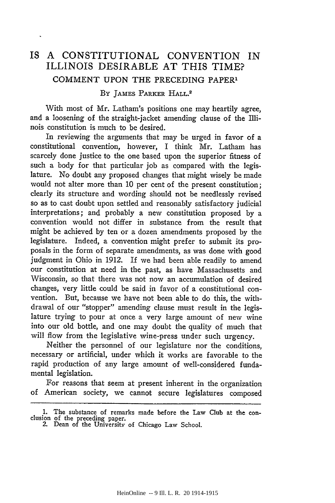## IS A CONSTITUTIONAL CONVENTION IN ILLINOIS DESIRABLE **AT** THIS TIME? COMMENT UPON THE PRECEDING PAPER'

## BY JAMES PARKER HALL.<sup>2</sup>

With most of Mr. Latham's positions one may heartily agree, and a loosening of the straight-jacket amending clause of the Illinois constitution is much to be desired.

In reviewing the arguments that may be urged in favor of a constitutional convention, however, I think Mr. Latham has scarcely done justice to the one based upon the superior fitness of such a body for that particular job as compared with the legislature. No doubt any proposed changes that might wisely be made would not alter more than 10 per cent of the present constitution; clearly its structure and wording should not be needlessly revised so as to cast doubt upon settled and reasonably satisfactory judicial interpretations; and probably a new constitution proposed by a convention would not differ in substance from the result that might be achieved by ten or a dozen amendments proposed by the legislature. Indeed, a convention might prefer to submit its proposals in the form of separate amendments, as was done with good judgment in Ohio in 1912. If we had been able readily to amend our constitution at need in the past, as have Massachusetts and Wisconsin, so that there was not now an accumulation of desired changes, very little could be said in favor of a constitutional convention. But, because we have not been able to do this, the withdrawal of our "stopper" amending clause must result in the legislature trying to pour at once a very large amount of new wine into our old bottle, and one may doubt the quality of much that will flow from the legislative wine-press under such urgency.

Neither the personnel of our legislature nor the conditions, necessary or artificial, under which it works are favorable to the rapid production of any large amount of well-considered fundamental legislation.

For reasons that seem at present inherent in the organization of American society, we cannot secure legislatures composed

<sup>1.</sup> The substance of remarks made before the Law Club at the conclusion of the preceding paper. 2. Dean of the University of Chicago Law School.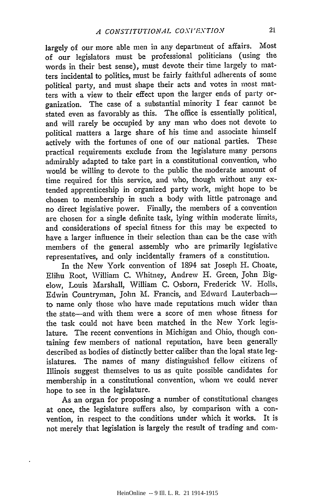largely of our more able men in any department of affairs. Most of our legislators must be professional politicians (using the words in their best sense), must devote their time largely to matters incidental to politics, must be fairly faithful adherents of some political party, and must shape their acts and votes in most matters with a view to their effect upon the larger ends of party organization. The case of a substantial minority I fear cannot be stated even as favorably as this. The office is essentially political, and will rarely be occupied by any man who does not devote to political matters a large share of his time and associate himself actively with the fortunes of one of our national parties. These practical requirements exclude from the legislature many persons admirably adapted to take part in a constitutional convention, who would be willing to devote to the public the moderate amount of time required for this service, and who, though without any extended apprenticeship in organized party work, might hope to be chosen to membership in such a body with little patronage and no direct legislative power. Finally, the members of a convention are chosen for a single definite task, lying within moderate limits, and considerations of special fitness for this may be expected to have a larger influence in their selection than can be the case with members of the general assembly who are primarily legislative representatives, and only incidentally framers of a constitution.

In the New York convention of 1894 sat Joseph H. Choate, Elihu Root, William C. Whitney, Andrew H. Green, John Bigelow, Louis Marshall, William C. Osborn, Frederick W. Holls, Edwin Countryman, John M. Francis, and Edward Lauterbachto name only those who have made reputations much wider than the state-and with them were a score of men whose fitness for the task could not have been matched in the New York legislature. The recent conventions in Michigan and Ohio, though containing few members of national reputation, have been generally described as bodies of distinctly better caliber than the loral state legislatures. The names of many distinguished fellow citizens of Illinois suggest themselves to us as quite possible candidates for membership in a constitutional convention, whom we could never hope to see in the legislature.

As an organ for proposing a number of constitutional changes at once, the legislature suffers also, by comparison with a convention, in respect to the conditions under which it works. It is not merely that legislation is largely the result of trading and com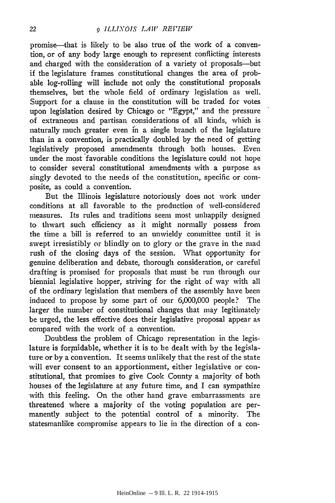promise-that is likely to be also true of the work of a convention, or of any body large enough to represent conflicting interests and charged with the consideration of a variety of proposals---but if the legislature frames constitutional changes the area of probable log-rolling will include not only the constitutional proposals themselves, but the whole field of ordinary legislation as well. Support for a clause in the constitution will be traded for votes upon legislation desired by Chicago or "Egypt," and the pressure of extraneous and partisan considerations of all kinds, which is naturally much greater even in a single branch of the legislature than in a convention, is practically doubled by the need of getting legislatively proposed amendments through both houses. Even under the most favorable conditions the legislature could not hope to consider several constitutional amendments with a purpose as singly devoted to the needs of the constitution, specific or composite, as could a convention.

But the Illinois legislature notoriously does not work under conditions at all favorable to the production of well-considered measures. Its rules and traditions seem most unhappily designed to thwart such efficiency as it might normally possess from the time a bill is referred to an unwieldy committee until it is swept irresistibly or blindly on to glory or the grave in the mad rush of the closing days of the session. Vhat opportunity for genuine deliberation and debate, thorough consideration, or careful drafting is promised for proposals that must be run through our biennial legislative hopper, striving for the right of way with all of the ordinary legislation that members of the assembly have been induced to propose by some part of our 6,000,000 people? The larger the number of constitutional changes that may legitimately be urged, the less effective does their legislative proposal appear as compared with the work of a convention.

Doubtless the problem of Chicago representation in the legislature is formidable, whether it is to be dealt with by the legislature or by a convention. It seems unlikely that the rest of the state will ever consent to an apportionment, either legislative or constitutional, that promises to give Cook County a majority of both houses of the legislature at any future time, and I can sympathize with this feeling. On the other hand grave embarrassments are threatened where a majority of the voting population are permanently subject to the potential control of a minority. The statesmanlike compromise appears to lie in the direction of a con